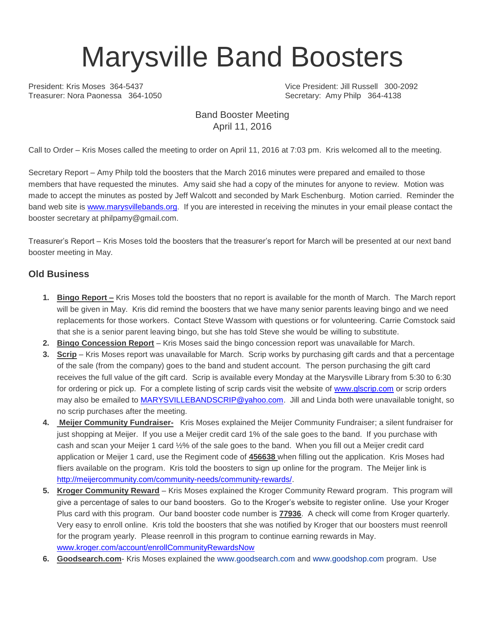# Marysville Band Boosters

Treasurer: Nora Paonessa 364-1050 Secretary: Amy Philp 364-4138

President: Kris Moses 364-5437 Vice President: Jill Russell 300-2092

#### Band Booster Meeting April 11, 2016

Call to Order – Kris Moses called the meeting to order on April 11, 2016 at 7:03 pm. Kris welcomed all to the meeting.

Secretary Report – Amy Philp told the boosters that the March 2016 minutes were prepared and emailed to those members that have requested the minutes. Amy said she had a copy of the minutes for anyone to review. Motion was made to accept the minutes as posted by Jeff Walcott and seconded by Mark Eschenburg. Motion carried. Reminder the band web site is [www.marysvillebands.org.](http://www.marysvillebands.org/) If you are interested in receiving the minutes in your email please contact the booster secretary at philpamy@gmail.com.

Treasurer's Report – Kris Moses told the boosters that the treasurer's report for March will be presented at our next band booster meeting in May.

#### **Old Business**

- **1. Bingo Report –** Kris Moses told the boosters that no report is available for the month of March. The March report will be given in May. Kris did remind the boosters that we have many senior parents leaving bingo and we need replacements for those workers. Contact Steve Wassom with questions or for volunteering. Carrie Comstock said that she is a senior parent leaving bingo, but she has told Steve she would be willing to substitute.
- **2. Bingo Concession Report** Kris Moses said the bingo concession report was unavailable for March.
- **3. Scrip** Kris Moses report was unavailable for March. Scrip works by purchasing gift cards and that a percentage of the sale (from the company) goes to the band and student account. The person purchasing the gift card receives the full value of the gift card. Scrip is available every Monday at the Marysville Library from 5:30 to 6:30 for ordering or pick up. For a complete listing of scrip cards visit the website of [www.glscrip.com](http://www.glscrip.com/) or scrip orders may also be emailed to [MARYSVILLEBANDSCRIP@yahoo.com.](mailto:MARYSVILLEBANDSCRIP@yahoo.com) Jill and Linda both were unavailable tonight, so no scrip purchases after the meeting.
- **4. Meijer Community Fundraiser-** Kris Moses explained the Meijer Community Fundraiser; a silent fundraiser for just shopping at Meijer. If you use a Meijer credit card 1% of the sale goes to the band. If you purchase with cash and scan your Meijer 1 card ½% of the sale goes to the band. When you fill out a Meijer credit card application or Meijer 1 card, use the Regiment code of **456638** when filling out the application. Kris Moses had fliers available on the program. Kris told the boosters to sign up online for the program. The Meijer link is [http://meijercommunity.com/community-needs/community-rewards/.](http://meijercommunity.com/community-needs/community-rewards/)
- **5. Kroger Community Reward** Kris Moses explained the Kroger Community Reward program. This program will give a percentage of sales to our band boosters. Go to the Kroger's website to register online. Use your Kroger Plus card with this program. Our band booster code number is **77936**. A check will come from Kroger quarterly. Very easy to enroll online. Kris told the boosters that she was notified by Kroger that our boosters must reenroll for the program yearly. Please reenroll in this program to continue earning rewards in May. [www.kroger.com/account/enrollCommunityRewardsNow](http://www.kroger.com/account/enrollCommunityRewardsNow)
- **6. Goodsearch.com** Kris Moses explained the [www.goodsearch.com](http://www.goodsearch.com/) and [www.goodshop.com](http://www.goodshop.com/) program. Use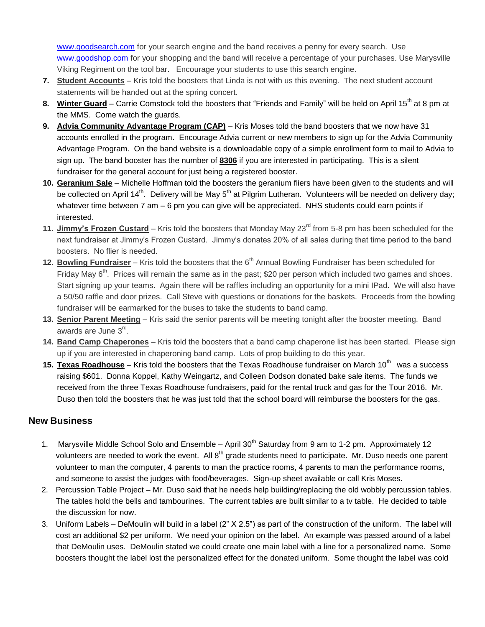[www.goodsearch.com](http://www.goodsearch.com/) for your search engine and the band receives a penny for every search. Use [www.goodshop.com](http://www.goodshop.com/) for your shopping and the band will receive a percentage of your purchases. Use Marysville Viking Regiment on the tool bar. Encourage your students to use this search engine.

- **7. Student Accounts** Kris told the boosters that Linda is not with us this evening. The next student account statements will be handed out at the spring concert.
- 8. **Winter Guard** Carrie Comstock told the boosters that "Friends and Family" will be held on April 15<sup>th</sup> at 8 pm at the MMS. Come watch the guards.
- **9. Advia Community Advantage Program (CAP)** Kris Moses told the band boosters that we now have 31 accounts enrolled in the program. Encourage Advia current or new members to sign up for the Advia Community Advantage Program. On the band website is a downloadable copy of a simple enrollment form to mail to Advia to sign up. The band booster has the number of **8306** if you are interested in participating. This is a silent fundraiser for the general account for just being a registered booster.
- **10. Geranium Sale** Michelle Hoffman told the boosters the geranium fliers have been given to the students and will be collected on April 14<sup>th</sup>. Delivery will be May 5<sup>th</sup> at Pilgrim Lutheran. Volunteers will be needed on delivery day; whatever time between 7 am – 6 pm you can give will be appreciated. NHS students could earn points if interested.
- **11. Jimmy's Frozen Custard** Kris told the boosters that Monday May 23<sup>rd</sup> from 5-8 pm has been scheduled for the next fundraiser at Jimmy's Frozen Custard. Jimmy's donates 20% of all sales during that time period to the band boosters. No flier is needed.
- **12. Bowling Fundraiser** Kris told the boosters that the 6<sup>th</sup> Annual Bowling Fundraiser has been scheduled for Friday May  $6<sup>th</sup>$ . Prices will remain the same as in the past; \$20 per person which included two games and shoes. Start signing up your teams. Again there will be raffles including an opportunity for a mini IPad. We will also have a 50/50 raffle and door prizes. Call Steve with questions or donations for the baskets. Proceeds from the bowling fundraiser will be earmarked for the buses to take the students to band camp.
- **13. Senior Parent Meeting** Kris said the senior parents will be meeting tonight after the booster meeting. Band awards are June 3<sup>rd</sup>.
- **14. Band Camp Chaperones** Kris told the boosters that a band camp chaperone list has been started. Please sign up if you are interested in chaperoning band camp. Lots of prop building to do this year.
- 15. **Texas Roadhouse** Kris told the boosters that the Texas Roadhouse fundraiser on March 10<sup>th</sup> was a success raising \$601. Donna Koppel, Kathy Weingartz, and Colleen Dodson donated bake sale items. The funds we received from the three Texas Roadhouse fundraisers, paid for the rental truck and gas for the Tour 2016. Mr. Duso then told the boosters that he was just told that the school board will reimburse the boosters for the gas.

#### **New Business**

- 1. Marysville Middle School Solo and Ensemble April 30<sup>th</sup> Saturday from 9 am to 1-2 pm. Approximately 12 volunteers are needed to work the event. All 8<sup>th</sup> grade students need to participate. Mr. Duso needs one parent volunteer to man the computer, 4 parents to man the practice rooms, 4 parents to man the performance rooms, and someone to assist the judges with food/beverages. Sign-up sheet available or call Kris Moses.
- 2. Percussion Table Project Mr. Duso said that he needs help building/replacing the old wobbly percussion tables. The tables hold the bells and tambourines. The current tables are built similar to a tv table. He decided to table the discussion for now.
- 3. Uniform Labels DeMoulin will build in a label (2" X 2.5") as part of the construction of the uniform. The label will cost an additional \$2 per uniform. We need your opinion on the label. An example was passed around of a label that DeMoulin uses. DeMoulin stated we could create one main label with a line for a personalized name. Some boosters thought the label lost the personalized effect for the donated uniform. Some thought the label was cold